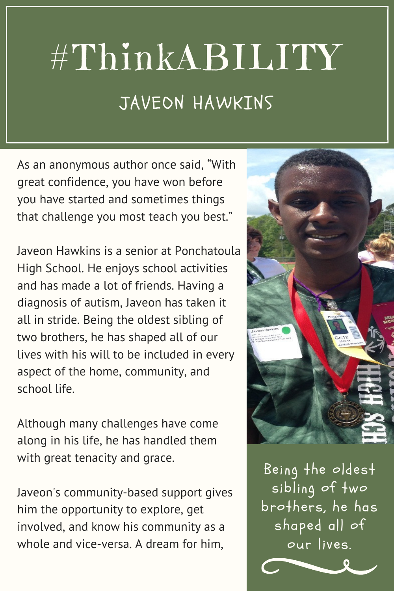## #ThinkABILITY JAVEON HAWKINS

As an anonymous author once said, "With great confidence, you have won before you have started and sometimes things that challenge you most teach you best."

Javeon Hawkins is a senior at Ponchatoula High School. He enjoys school activities and has made a lot of friends. Having a diagnosis of autism, Javeon has taken it all in stride. Being the oldest sibling of two brothers, he has shaped all of our lives with his will to be included in every aspect of the home, community, and school life.

Although many challenges have come along in his life, he has handled them with great tenacity and grace.

Javeon's community-based support gives him the opportunity to explore, get involved, and know his community as a whole and vice-versa. A dream for him,



Being the oldest sibling of two brothers, he has shaped all of our lives.